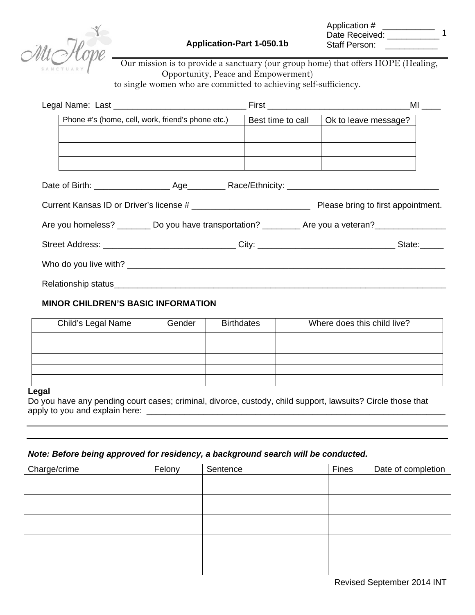

| Application #  |  |
|----------------|--|
| Date Received: |  |
| Staff Person:  |  |

Our mission is to provide a sanctuary (our group home) that offers HOPE (Healing, Opportunity, Peace and Empowerment) to single women who are committed to achieving self-sufficiency.

| Phone #'s (home, cell, work, friend's phone etc.)                                                    | Best time to call | Ok to leave message? |
|------------------------------------------------------------------------------------------------------|-------------------|----------------------|
|                                                                                                      |                   |                      |
|                                                                                                      |                   |                      |
|                                                                                                      |                   |                      |
|                                                                                                      |                   |                      |
|                                                                                                      |                   |                      |
| Are you homeless? _________ Do you have transportation? __________ Are you a veteran? ______________ |                   |                      |
| Street Address: _________________________________City: ________________________________State:______  |                   |                      |
|                                                                                                      |                   |                      |
|                                                                                                      |                   |                      |

### **MINOR CHILDREN'S BASIC INFORMATION**

| Child's Legal Name | Gender | <b>Birthdates</b> | Where does this child live? |
|--------------------|--------|-------------------|-----------------------------|
|                    |        |                   |                             |
|                    |        |                   |                             |
|                    |        |                   |                             |
|                    |        |                   |                             |
|                    |        |                   |                             |

#### **Legal**

Do you have any pending court cases; criminal, divorce, custody, child support, lawsuits? Circle those that apply to you and explain here: \_\_\_\_\_\_\_\_\_\_\_\_\_\_\_\_\_\_\_\_\_\_\_\_\_\_\_\_\_\_\_\_\_\_\_\_\_\_\_\_\_\_\_\_\_\_\_\_\_\_\_\_\_\_\_\_\_\_\_\_\_\_\_

#### *Note: Before being approved for residency, a background search will be conducted.*

| Charge/crime | Felony | Sentence | Fines | Date of completion |
|--------------|--------|----------|-------|--------------------|
|              |        |          |       |                    |
|              |        |          |       |                    |
|              |        |          |       |                    |
|              |        |          |       |                    |
|              |        |          |       |                    |
|              |        |          |       |                    |
|              |        |          |       |                    |
|              |        |          |       |                    |
|              |        |          |       |                    |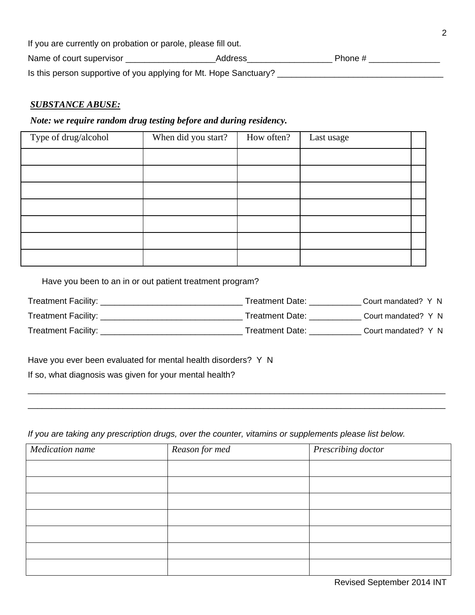| If you are currently on probation or parole, please fill out.     |         |         |  |
|-------------------------------------------------------------------|---------|---------|--|
| Name of court supervisor                                          | Address | Phone # |  |
| Is this person supportive of you applying for Mt. Hope Sanctuary? |         |         |  |

## *SUBSTANCE ABUSE:*

## *Note: we require random drug testing before and during residency.*

| Type of drug/alcohol | When did you start? | How often? | Last usage |  |
|----------------------|---------------------|------------|------------|--|
|                      |                     |            |            |  |
|                      |                     |            |            |  |
|                      |                     |            |            |  |
|                      |                     |            |            |  |
|                      |                     |            |            |  |
|                      |                     |            |            |  |
|                      |                     |            |            |  |

Have you been to an in or out patient treatment program?

| Treatment Facility: _ | Treatment Date: | Court mandated? Y N |  |
|-----------------------|-----------------|---------------------|--|
| Treatment Facility:   | Treatment Date: | Court mandated? Y N |  |
| Treatment Facility:   | Treatment Date: | Court mandated? Y N |  |

\_\_\_\_\_\_\_\_\_\_\_\_\_\_\_\_\_\_\_\_\_\_\_\_\_\_\_\_\_\_\_\_\_\_\_\_\_\_\_\_\_\_\_\_\_\_\_\_\_\_\_\_\_\_\_\_\_\_\_\_\_\_\_\_\_\_\_\_\_\_\_\_\_\_\_\_\_\_\_\_\_\_\_\_\_\_\_\_ \_\_\_\_\_\_\_\_\_\_\_\_\_\_\_\_\_\_\_\_\_\_\_\_\_\_\_\_\_\_\_\_\_\_\_\_\_\_\_\_\_\_\_\_\_\_\_\_\_\_\_\_\_\_\_\_\_\_\_\_\_\_\_\_\_\_\_\_\_\_\_\_\_\_\_\_\_\_\_\_\_\_\_\_\_\_\_\_

Have you ever been evaluated for mental health disorders? Y N

If so, what diagnosis was given for your mental health?

*If you are taking any prescription drugs, over the counter, vitamins or supplements please list below.* 

| Medication name | Reason for med | Prescribing doctor |
|-----------------|----------------|--------------------|
|                 |                |                    |
|                 |                |                    |
|                 |                |                    |
|                 |                |                    |
|                 |                |                    |
|                 |                |                    |
|                 |                |                    |

Revised September 2014 INT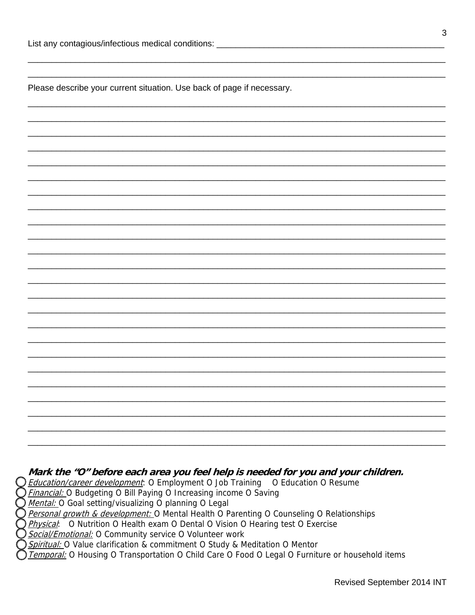Please describe your current situation. Use back of page if necessary.

### Mark the "O" before each area you feel help is needed for you and your children.

**Education/career development**: O Employment O Job Training O Education O Resume

**Financial:** O Budgeting O Bill Paying O Increasing income O Saving

Mental: O Goal setting/visualizing O planning O Legal

Personal growth & development: O Mental Health O Parenting O Counseling O Relationships

Physical: O Nutrition O Health exam O Dental O Vision O Hearing test O Exercise

Social/Emotional: O Community service O Volunteer work

Spiritual: O Value clarification & commitment O Study & Meditation O Mentor

Temporal: O Housing O Transportation O Child Care O Food O Legal O Furniture or household items